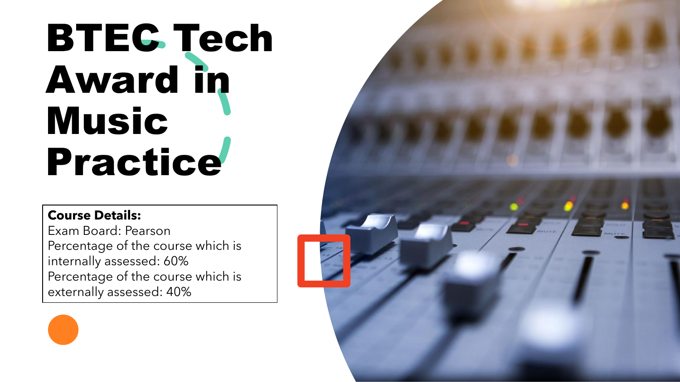## BTEC Tech Award in Music Practice

## **Course Details:**

Exam Board: Pearson Percentage of the course which is internally assessed: 60% Percentage of the course which is externally assessed: 40%

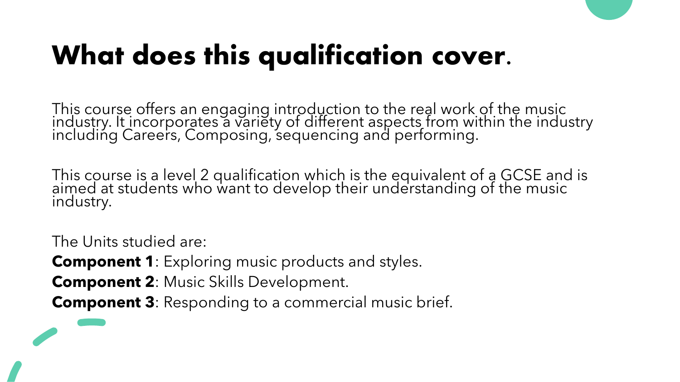

This course offers an engaging introduction to the real work of the music industry. It incorporates a variety of different aspects from within the industry including Careers, Composing, sequencing and performing.

This course is a level 2 qualification which is the equivalent of a GCSE and is aimed at students who want to develop their understanding of the music industry.

The Units studied are:

**Component 1**: Exploring music products and styles.

**Component 2**: Music Skills Development.

**Component 3**: Responding to a commercial music brief.